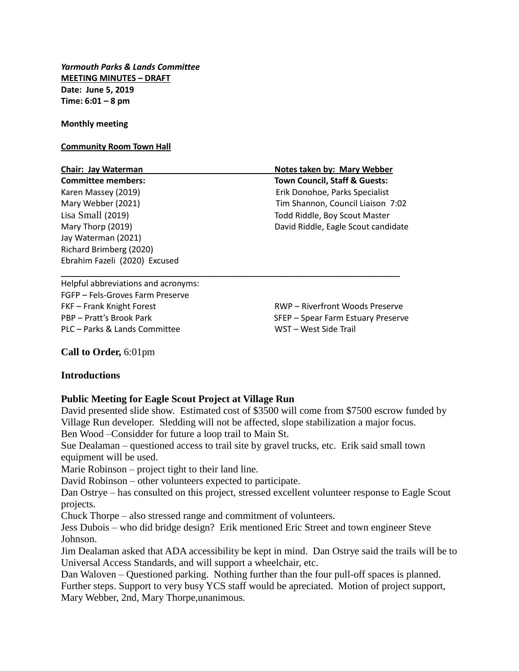*Yarmouth Parks & Lands Committee* **MEETING MINUTES – DRAFT Date: June 5, 2019 Time: 6:01 – 8 pm**

**Monthly meeting**

#### **Community Room Town Hall**

**Committee members: Town Council, Staff & Guests:** Jay Waterman (2021) Richard Brimberg (2020) Ebrahim Fazeli (2020) Excused

**Chair: Jay Waterman Notes taken by: Mary Webber**  Karen Massey (2019) Erik Donohoe, Parks Specialist Mary Webber (2021) Tim Shannon, Council Liaison 7:02 Lisa Small (2019) Todd Riddle, Boy Scout Master Mary Thorp (2019) David Riddle, Eagle Scout candidate

Helpful abbreviations and acronyms: FGFP – Fels-Groves Farm Preserve FKF – Frank Knight Forest RWP – Riverfront Woods Preserve PBP – Pratt's Brook Park SFEP – Spear Farm Estuary Preserve PLC – Parks & Lands Committee WST – West Side Trail

**Call to Order,** 6:01pm

# **Introductions**

# **Public Meeting for Eagle Scout Project at Village Run**

David presented slide show. Estimated cost of \$3500 will come from \$7500 escrow funded by Village Run developer. Sledding will not be affected, slope stabilization a major focus. Ben Wood –Considder for future a loop trail to Main St.

Sue Dealaman – questioned access to trail site by gravel trucks, etc. Erik said small town equipment will be used.

\_\_\_\_\_\_\_\_\_\_\_\_\_\_\_\_\_\_\_\_\_\_\_\_\_\_\_\_\_\_\_\_\_\_\_\_\_\_\_\_\_\_\_\_\_\_\_\_\_\_\_\_\_\_\_\_\_\_\_\_\_\_\_\_\_\_\_\_\_\_\_\_\_

Marie Robinson – project tight to their land line.

David Robinson – other volunteers expected to participate.

Dan Ostrye – has consulted on this project, stressed excellent volunteer response to Eagle Scout projects.

Chuck Thorpe – also stressed range and commitment of volunteers.

Jess Dubois – who did bridge design? Erik mentioned Eric Street and town engineer Steve Johnson.

Jim Dealaman asked that ADA accessibility be kept in mind. Dan Ostrye said the trails will be to Universal Access Standards, and will support a wheelchair, etc.

Dan Waloven – Questioned parking. Nothing further than the four pull-off spaces is planned. Further steps. Support to very busy YCS staff would be apreciated. Motion of project support, Mary Webber, 2nd, Mary Thorpe,unanimous.